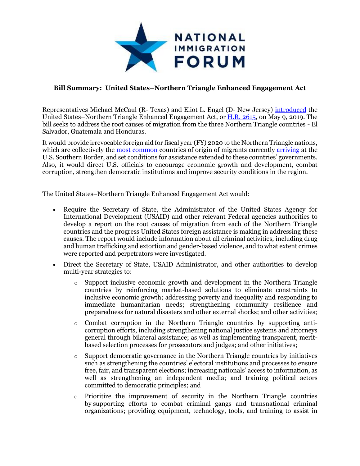

## **Bill Summary: United States–Northern Triangle Enhanced Engagement Act**

Representatives Michael McCaul (R- Texas) and Eliot L. Engel (D- New Jersey) [introduced](https://foreignaffairs.house.gov/2019/5/engel-mccaul-introduce-legislation-to-address-root-causes-of-migration-from-central-america) the United States–Northern Triangle Enhanced Engagement Act, or [H.R. 2615,](https://www.congress.gov/bill/116th-congress/house-bill/2615?q=%7B%22search%22%3A%5B%22McCaul%22%5D%7D) on May 9, 2019. The bill seeks to address the root causes of migration from the three Northern Triangle countries - El Salvador, Guatemala and Honduras.

It would provide irrevocable foreign aid for fiscal year (FY) 2020 to the Northern Triangle nations, which are collectively the [most common](https://www.cbp.gov/newsroom/stats/sw-border-migration/usbp-sw-border-apprehensions) countries of origin of migrants currently [arriving](https://www.cbp.gov/newsroom/stats/sw-border-migration/ofo-sw-border-inadmissibles) at the U.S. Southern Border, and set conditions for assistance extended to these countries' governments. Also, it would direct U.S. officials to encourage economic growth and development, combat corruption, strengthen democratic institutions and improve security conditions in the region.

The United States–Northern Triangle Enhanced Engagement Act would:

- Require the Secretary of State, the Administrator of the United States Agency for International Development (USAID) and other relevant Federal agencies authorities to develop a report on the root causes of migration from each of the Northern Triangle countries and the progress United States foreign assistance is making in addressing these causes. The report would include information about all criminal activities, including drug and human trafficking and extortion and gender-based violence, and to what extent crimes were reported and perpetrators were investigated.
- Direct the Secretary of State, USAID Administrator, and other authorities to develop multi-year strategies to:
	- $\circ$  Support inclusive economic growth and development in the Northern Triangle countries by reinforcing market-based solutions to eliminate constraints to inclusive economic growth; addressing poverty and inequality and responding to immediate humanitarian needs; strengthening community resilience and preparedness for natural disasters and other external shocks; and other activities;
	- o Combat corruption in the Northern Triangle countries by supporting anticorruption efforts, including strengthening national justice systems and attorneys general through bilateral assistance; as well as implementing transparent, meritbased selection processes for prosecutors and judges; and other initiatives;
	- $\circ$  Support democratic governance in the Northern Triangle countries by initiatives such as strengthening the countries' electoral institutions and processes to ensure free, fair, and transparent elections; increasing nationals' access to information, as well as strengthening an independent media; and training political actors committed to democratic principles; and
	- $\circ$  Prioritize the improvement of security in the Northern Triangle countries by supporting efforts to combat criminal gangs and transnational criminal organizations; providing equipment, technology, tools, and training to assist in